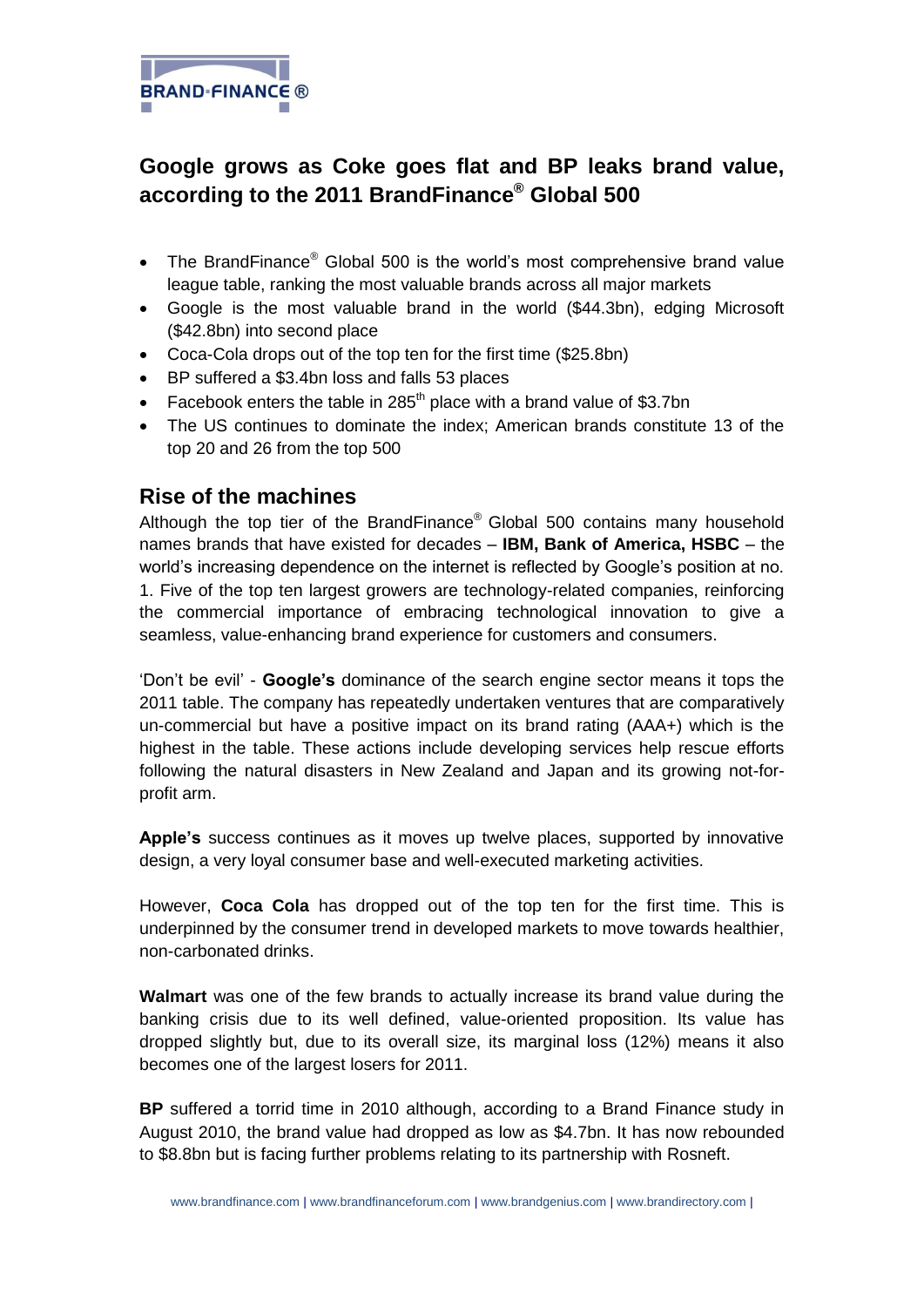

# **Google grows as Coke goes flat and BP leaks brand value, according to the 2011 BrandFinance® Global 500**

- The BrandFinance<sup>®</sup> Global 500 is the world's most comprehensive brand value league table, ranking the most valuable brands across all major markets
- Google is the most valuable brand in the world (\$44.3bn), edging Microsoft (\$42.8bn) into second place
- Coca-Cola drops out of the top ten for the first time (\$25.8bn)
- BP suffered a \$3.4bn loss and falls 53 places
- Facebook enters the table in 285<sup>th</sup> place with a brand value of \$3.7bn
- The US continues to dominate the index; American brands constitute 13 of the top 20 and 26 from the top 500

### **Rise of the machines**

Although the top tier of the BrandFinance® Global 500 contains many household names brands that have existed for decades – **IBM, Bank of America, HSBC** – the world's increasing dependence on the internet is reflected by Google's position at no. 1. Five of the top ten largest growers are technology-related companies, reinforcing the commercial importance of embracing technological innovation to give a seamless, value-enhancing brand experience for customers and consumers.

'Don't be evil' - **Google's** dominance of the search engine sector means it tops the 2011 table. The company has repeatedly undertaken ventures that are comparatively un-commercial but have a positive impact on its brand rating (AAA+) which is the highest in the table. These actions include developing services help rescue efforts following the natural disasters in New Zealand and Japan and its growing not-forprofit arm.

**Apple's** success continues as it moves up twelve places, supported by innovative design, a very loyal consumer base and well-executed marketing activities.

However, **Coca Cola** has dropped out of the top ten for the first time. This is underpinned by the consumer trend in developed markets to move towards healthier, non-carbonated drinks.

**Walmart** was one of the few brands to actually increase its brand value during the banking crisis due to its well defined, value-oriented proposition. Its value has dropped slightly but, due to its overall size, its marginal loss (12%) means it also becomes one of the largest losers for 2011.

**BP** suffered a torrid time in 2010 although, according to a Brand Finance study in August 2010, the brand value had dropped as low as \$4.7bn. It has now rebounded to \$8.8bn but is facing further problems relating to its partnership with Rosneft.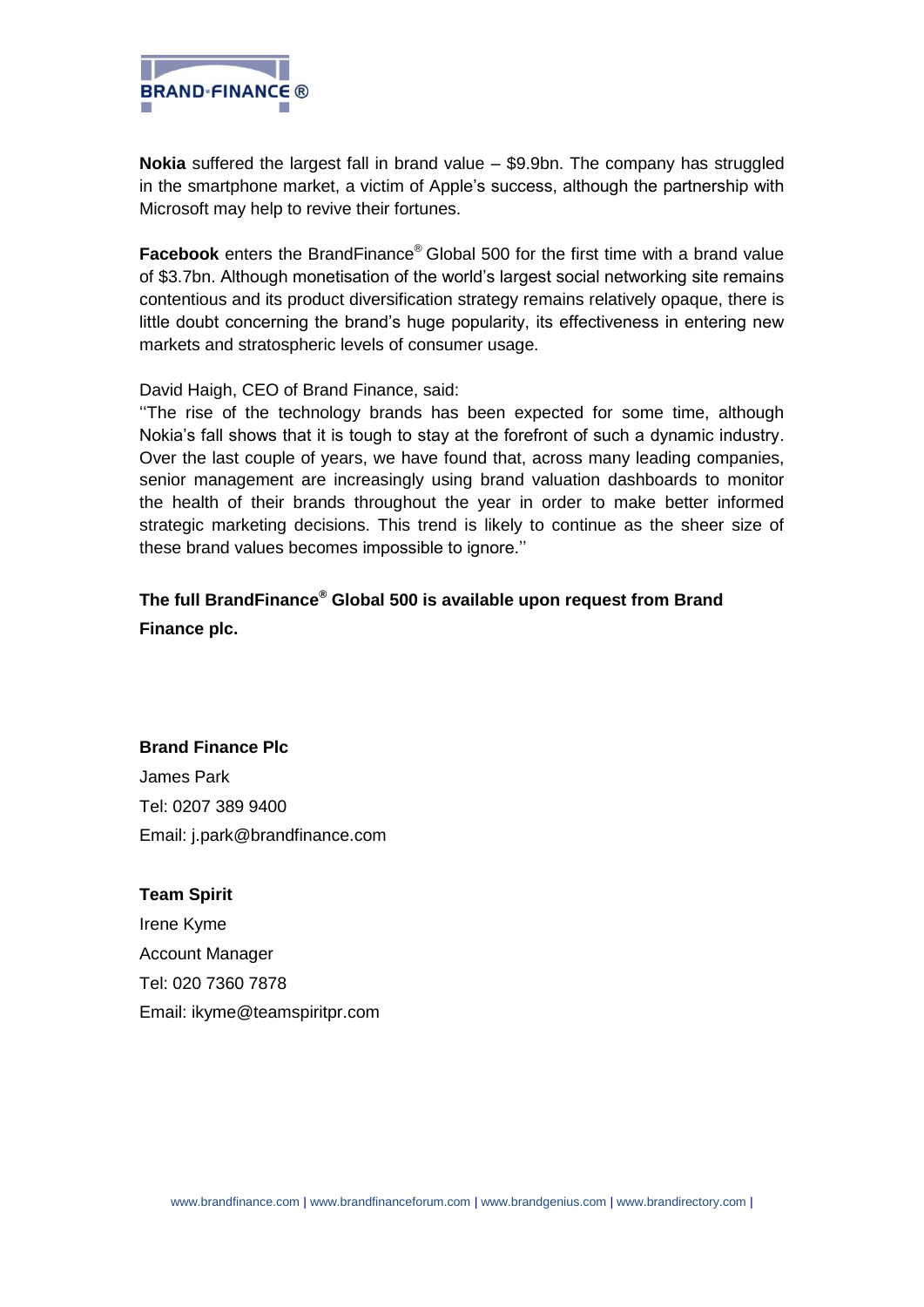

**Nokia** suffered the largest fall in brand value – \$9.9bn. The company has struggled in the smartphone market, a victim of Apple's success, although the partnership with Microsoft may help to revive their fortunes.

**Facebook** enters the BrandFinance® Global 500 for the first time with a brand value of \$3.7bn. Although monetisation of the world's largest social networking site remains contentious and its product diversification strategy remains relatively opaque, there is little doubt concerning the brand's huge popularity, its effectiveness in entering new markets and stratospheric levels of consumer usage.

### David Haigh, CEO of Brand Finance, said:

''The rise of the technology brands has been expected for some time, although Nokia's fall shows that it is tough to stay at the forefront of such a dynamic industry. Over the last couple of years, we have found that, across many leading companies, senior management are increasingly using brand valuation dashboards to monitor the health of their brands throughout the year in order to make better informed strategic marketing decisions. This trend is likely to continue as the sheer size of these brand values becomes impossible to ignore.''

## **The full BrandFinance® Global 500 is available upon request from Brand Finance plc.**

#### **Brand Finance Plc**

James Park Tel: 0207 389 9400 Email: j.park@brandfinance.com

#### **Team Spirit**

Irene Kyme Account Manager Tel: 020 7360 7878 Email: [ikyme@teamspiritpr.com](mailto:ikyme@teamspiritpr.com)